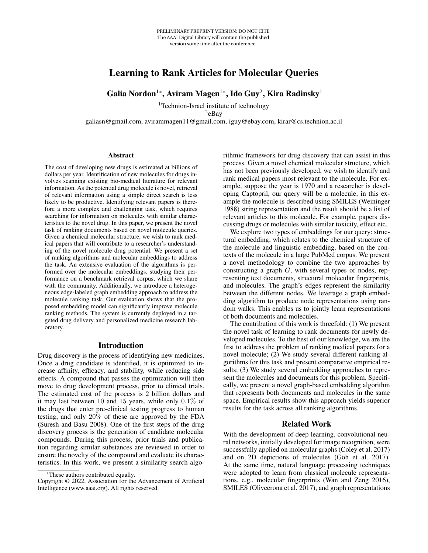# Learning to Rank Articles for Molecular Queries

Galia Nordon $^{1*}$ , Aviram Magen $^{1*}$ , Ido Guy $^2$ , Kira Radinsky $^1$ 

<sup>1</sup>Technion-Israel institute of technology  $2e$ Bay galiasn@gmail.com, avirammagen11@gmail.com, iguy@ebay.com, kirar@cs.technion.ac.il

#### Abstract

The cost of developing new drugs is estimated at billions of dollars per year. Identifcation of new molecules for drugs involves scanning existing bio-medical literature for relevant information. As the potential drug molecule is novel, retrieval of relevant information using a simple direct search is less likely to be productive. Identifying relevant papers is therefore a more complex and challenging task, which requires searching for information on molecules with similar characteristics to the novel drug. In this paper, we present the novel task of ranking documents based on novel molecule queries. Given a chemical molecular structure, we wish to rank medical papers that will contribute to a researcher's understanding of the novel molecule drug potential. We present a set of ranking algorithms and molecular embeddings to address the task. An extensive evaluation of the algorithms is performed over the molecular embeddings, studying their performance on a benchmark retrieval corpus, which we share with the community. Additionally, we introduce a heterogeneous edge-labeled graph embedding approach to address the molecule ranking task. Our evaluation shows that the proposed embedding model can signifcantly improve molecule ranking methods. The system is currently deployed in a targeted drug delivery and personalized medicine research laboratory.

# Introduction

Drug discovery is the process of identifying new medicines. Once a drug candidate is identifed, it is optimized to increase affinity, efficacy, and stability, while reducing side effects. A compound that passes the optimization will then move to drug development process, prior to clinical trials. The estimated cost of the process is 2 billion dollars and it may last between 10 and 15 years, while only 0.1% of the drugs that enter pre-clinical testing progress to human testing, and only 20% of these are approved by the FDA (Suresh and Basu 2008). One of the frst steps of the drug discovery process is the generation of candidate molecular compounds. During this process, prior trials and publication regarding similar substances are reviewed in order to ensure the novelty of the compound and evaluate its characteristics. In this work, we present a similarity search algorithmic framework for drug discovery that can assist in this process. Given a novel chemical molecular structure, which has not been previously developed, we wish to identify and rank medical papers most relevant to the molecule. For example, suppose the year is 1970 and a researcher is developing Captopril, our query will be a molecule; in this example the molecule is described using SMILES (Weininger 1988) string representation and the result should be a list of relevant articles to this molecule. For example, papers discussing drugs or molecules with similar toxicity, effect etc.

We explore two types of embeddings for our query: structural embedding, which relates to the chemical structure of the molecule and linguistic embedding, based on the contexts of the molecule in a large PubMed corpus. We present a novel methodology to combine the two approaches by constructing a graph  $G$ , with several types of nodes, representing text documents, structural molecular fngerprints, and molecules. The graph's edges represent the similarity between the different nodes. We leverage a graph embedding algorithm to produce node representations using random walks. This enables us to jointly learn representations of both documents and molecules.

The contribution of this work is threefold: (1) We present the novel task of learning to rank documents for newly developed molecules. To the best of our knowledge, we are the frst to address the problem of ranking medical papers for a novel molecule; (2) We study several different ranking algorithms for this task and present comparative empirical results; (3) We study several embedding approaches to represent the molecules and documents for this problem. Specifcally, we present a novel graph-based embedding algorithm that represents both documents and molecules in the same space. Empirical results show this approach yields superior results for the task across all ranking algorithms.

## Related Work

With the development of deep learning, convolutional neural networks, initially developed for image recognition, were successfully applied on molecular graphs (Coley et al. 2017) and on 2D depictions of molecules (Goh et al. 2017). At the same time, natural language processing techniques were adopted to learn from classical molecule representations, e.g., molecular fngerprints (Wan and Zeng 2016), SMILES (Olivecrona et al. 2017), and graph representations

<sup>\*</sup>These authors contributed equally.

Copyright © 2022, Association for the Advancement of Artifcial Intelligence (www.aaai.org). All rights reserved.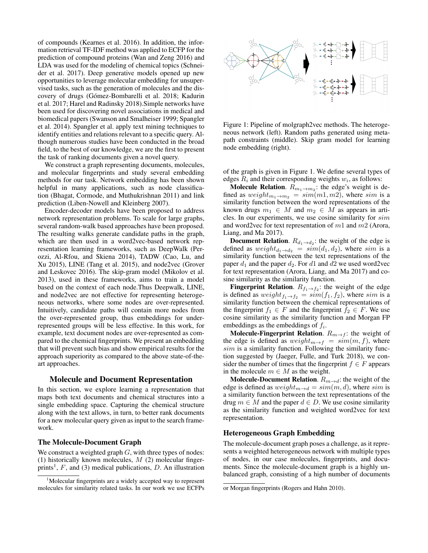of compounds (Kearnes et al. 2016). In addition, the information retrieval TF-IDF method was applied to ECFP for the prediction of compound proteins (Wan and Zeng 2016) and LDA was used for the modeling of chemical topics (Schneider et al. 2017). Deep generative models opened up new opportunities to leverage molecular embedding for unsupervised tasks, such as the generation of molecules and the discovery of drugs (Gómez-Bombarelli et al. 2018; Kadurin et al. 2017; Harel and Radinsky 2018).Simple networks have been used for discovering novel associations in medical and biomedical papers (Swanson and Smalheiser 1999; Spangler et al. 2014). Spangler et al. apply text mining techniques to identify entities and relations relevant to a specifc query. Although numerous studies have been conducted in the broad feld, to the best of our knowledge, we are the frst to present the task of ranking documents given a novel query.

We construct a graph representing documents, molecules, and molecular fngerprints and study several embedding methods for our task. Network embedding has been shown helpful in many applications, such as node classification (Bhagat, Cormode, and Muthukrishnan 2011) and link prediction (Liben-Nowell and Kleinberg 2007).

Encoder-decoder models have been proposed to address network representation problems. To scale for large graphs, several random-walk based approaches have been proposed. The resulting walks generate candidate paths in the graph, which are then used in a word2vec-based network representation learning frameworks, such as DeepWalk (Perozzi, Al-Rfou, and Skiena 2014), TADW (Cao, Lu, and Xu 2015), LINE (Tang et al. 2015), and node2vec (Grover and Leskovec 2016). The skip-gram model (Mikolov et al. 2013), used in these frameworks, aims to train a model based on the context of each node.Thus Deepwalk, LINE, and node2vec are not effective for representing heterogeneous networks, where some nodes are over-represented. Intuitively, candidate paths will contain more nodes from the over-represented group, thus embeddings for underrepresented groups will be less effective. In this work, for example, text document nodes are over-represented as compared to the chemical fngerprints. We present an embedding that will prevent such bias and show empirical results for the approach superiority as compared to the above state-of-theart approaches.

## Molecule and Document Representation

In this section, we explore learning a representation that maps both text documents and chemical structures into a single embedding space. Capturing the chemical structure along with the text allows, in turn, to better rank documents for a new molecular query given as input to the search framework.

#### The Molecule-Document Graph

We construct a weighted graph  $G$ , with three types of nodes: (1) historically known molecules,  $M$  (2) molecular fingerprints<sup>1</sup>,  $F$ , and (3) medical publications,  $D$ . An illustration



Figure 1: Pipeline of molgraph2vec methods. The heterogeneous network (left). Random paths generated using metapath constraints (middle). Skip gram model for learning node embedding (right).

of the graph is given in Figure 1. We defne several types of edges  $R_i$  and their corresponding weights  $w_i$ , as follows:

**Molecule Relation**.  $R_{m_1 \to m_2}$ : the edge's weight is defined as  $weight_{m_1 \to m_2} = sim(m1, m2)$ , where sim is a similarity function between the word representations of the known drugs  $m_1 \in M$  and  $m_2 \in M$  as appears in articles. In our experiments, we use cosine similarity for sim and word2vec for text representation of  $m1$  and  $m2$  (Arora, Liang, and Ma 2017).

**Document Relation.**  $R_{d_1 \to d_2}$ : the weight of the edge is defined as  $weight_{d_1 \rightarrow d_2} = sim(d_1, d_2)$ , where sim is a similarity function between the text representations of the paper  $d_1$  and the paper  $d_2$ . For  $d_1$  and  $d_2$  we used word2vec for text representation (Arora, Liang, and Ma 2017) and cosine similarity as the similarity function.

**Fingerprint Relation.**  $R_{f_1 \to f_2}$ : the weight of the edge is defined as  $weight_{f_1 \rightarrow f_2} = sim(f_1, f_2)$ , where sim is a similarity function between the chemical representations of the fingerprint  $f_1 \in F$  and the fingerprint  $f_2 \in F$ . We use cosine similarity as the similarity function and Morgan FP embeddings as the embeddings of  $f_i$ .

Molecule-Fingerprint Relation.  $R_{m \to f}$ : the weight of the edge is defined as  $weight_{m \to f} = sim(m, f)$ , where  $sim$  is a similarity function. Following the similarity function suggested by (Jaeger, Fulle, and Turk 2018), we consider the number of times that the fingerprint  $f \in F$  appears in the molecule  $m \in M$  as the weight.

Molecule-Document Relation.  $R_{m\rightarrow d}$ : the weight of the edge is defined as  $weight_{m\to d} = sim(m, d)$ , where sim is a similarity function between the text representations of the drug  $m \in M$  and the paper  $d \in D$ . We use cosine similarity as the similarity function and weighted word2vec for text representation.

## Heterogeneous Graph Embedding

The molecule-document graph poses a challenge, as it represents a weighted heterogeneous network with multiple types of nodes, in our case molecules, fngerprints, and documents. Since the molecule-document graph is a highly unbalanced graph, consisting of a high number of documents

<sup>1</sup>Molecular fngerprints are a widely accepted way to represent molecules for similarity related tasks. In our work we use ECFPs

or Morgan fngerprints (Rogers and Hahn 2010).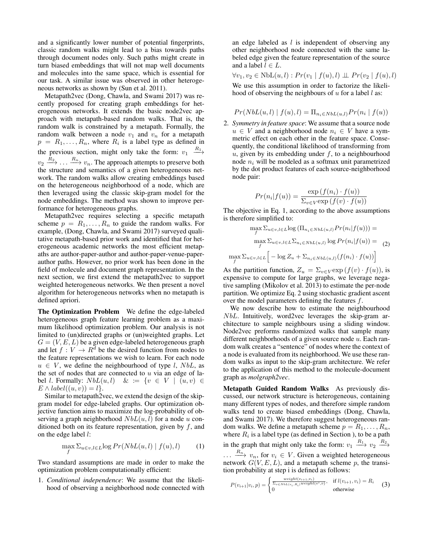and a signifcantly lower number of potential fngerprints, classic random walks might lead to a bias towards paths through document nodes only. Such paths might create in turn biased embeddings that will not map well documents and molecules into the same space, which is essential for our task. A similar issue was observed in other heterogeneous networks as shown by (Sun et al. 2011).

Metapath2vec (Dong, Chawla, and Swami 2017) was recently proposed for creating graph embeddings for heterogeneous networks. It extends the basic node2vec approach with metapath-based random walks. That is, the random walk is constrained by a metapath. Formally, the random walk between a node  $v_1$  and  $v_n$  for a metapath  $p = R_1, \ldots, R_n$ , where  $R_i$  is a label type as defined in the previous section, might only take the form:  $v_1 \xrightarrow{R_1}$  $v_2 \stackrel{R_2}{\longrightarrow} \ldots \stackrel{R_n}{\longrightarrow} v_n$ . The approach attempts to preserve both the structure and semantics of a given heterogeneous network. The random walks allow creating embeddings based on the heterogeneous neighborhood of a node, which are then leveraged using the classic skip-gram model for the node embeddings. The method was shown to improve performance for heterogeneous graphs.

Metapath2vec requires selecting a specifc metapath scheme  $p = R_1, \ldots, R_n$  to guide the random walks. For example, (Dong, Chawla, and Swami 2017) surveyed qualitative metapath-based prior work and identifed that for heterogeneous academic networks the most efficient metapaths are author-paper-author and author-paper-venue-paperauthor paths. However, no prior work has been done in the feld of molecule and document graph representation. In the next section, we frst extend the metapath2vec to support weighted heterogeneous networks. We then present a novel algorithm for heterogeneous networks when no metapath is defned apriori.

The Optimization Problem We defne the edge-labeled heterogeneous graph feature learning problem as a maximum likelihood optimization problem. Our analysis is not limited to (un)directed graphs or (un)weighted graphs. Let  $G = (V, E, L)$  be a given edge-labeled heterogeneous graph and let  $f : V \to R^d$  be the desired function from nodes to the feature representations we wish to learn. For each node  $u \in V$ , we define the neighbourhood of type l, NbL, as the set of nodes that are connected to  $u$  via an edge of label *l*. Formally:  $NbL(u, l)$  & :=  $\{v \in V \mid (u, v) \in$  $E \wedge label((u, v)) = l$ .

Similar to metapath2vec, we extend the design of the skipgram model for edge-labeled graphs. Our optimization objective function aims to maximize the log-probability of observing a graph neighborhood  $N bL(u, l)$  for a node u conditioned both on its feature representation, given by  $f$ , and on the edge label l:

$$
\max_{f} \sum_{u \in v, l \in L} \log Pr(NbL(u, l) \mid f(u), l) \tag{1}
$$

Two standard assumptions are made in order to make the optimization problem computationally efficient:

1. *Conditional independence*: We assume that the likelihood of observing a neighborhood node connected with

an edge labeled as  $l$  is independent of observing any other neighborhood node connected with the same labeled edge given the feature representation of the source and a label  $l \in L$ .

$$
\forall v_1, v_2 \in \text{NbL}(u, l) : Pr(v_1 \mid f(u), l) \perp \!\!\!\perp Pr(v_2 \mid f(u), l)
$$

We use this assumption in order to factorize the likelihood of observing the neighbours of  $u$  for a label  $l$  as:

$$
Pr(NbL(u, l) | f(u), l) = \Pi_{n_i \in NbL(u, l)} Pr(n_i | f(u))
$$

2. *Symmetry in feature space*: We assume that a source node  $u \in V$  and a neighborhood node  $n_i \in V$  have a symmetric effect on each other in the feature space. Consequently, the conditional likelihood of transforming from  $u$ , given by its embedding under  $f$ , to a neighbourhood node  $n_i$  will be modeled as a softmax unit parametrized by the dot product features of each source-neighborhood node pair:

$$
Pr(n_i|f(u)) = \frac{\exp(f(n_i) \cdot f(u))}{\sum_{v \in V} \exp(f(v) \cdot f(u))}
$$

The objective in Eq. 1, according to the above assumptions is therefore simplifed to:

$$
\max_{f} \sum_{u \in v, l \in L} \log (\prod_{n_i \in NbL(u,l)} Pr(n_i|f(u))) =
$$
\n
$$
\max_{f} \sum_{u \in v, l \in L} \sum_{n_i \in NbL(u,l)} \log Pr(n_i|f(u)) =
$$
\n
$$
\max_{f} \sum_{u \in v, l \in L} \left[ -\log Z_u + \sum_{n_i \in NbL(u,l)} (f(n_i) \cdot f(u)) \right]
$$
\n(2)

As the partition function,  $Z_u = \sum_{v \in V} \exp(f(v) \cdot f(u))$ , is expensive to compute for large graphs, we leverage negative sampling (Mikolov et al. 2013) to estimate the per-node partition. We optimize Eq. 2 using stochastic gradient ascent over the model parameters defining the features  $f$ .

 $\mathbf n$ 

We now describe how to estimate the neighbourhood  $NbL$ . Intuitively, word2vec leverages the skip-gram architecture to sample neighbours using a sliding window. Node2vec preforms randomized walks that sample many different neighborhoods of a given source node  $u$ . Each random walk creates a "sentence" of nodes where the context of a node is evaluated from its neighborhood. We use these random walks as input to the skip-gram architecture. We refer to the application of this method to the molecule-document graph as *molgraph2vec*.

Metapath Guided Random Walks As previously discussed, our network structure is heterogeneous, containing many different types of nodes, and therefore simple random walks tend to create biased embeddings (Dong, Chawla, and Swami 2017). We therefore suggest heterogeneous random walks. We define a metapath scheme  $p = R_1, \ldots, R_n$ , where  $R_i$  is a label type (as defined in Section ), to be a path in the graph that might only take the form:  $v_1 \xrightarrow{R_1} v_2 \xrightarrow{R_2}$ 

 $\dots \xrightarrow{R_n} v_n$ , for  $v_i \in V$ . Given a weighted heterogeneous network  $G(V, E, L)$ , and a metapath scheme p, the transition probability at step i is defned as follows:

$$
P(v_{i+1}|v_i, p) = \begin{cases} \frac{weight(v_{i+1}, v_i)}{\sum_{v \in NbL(v_i, R_i)} weight(v^i, v)}, & \text{if } l(v_{i+1}, v_i) = R_i \\ 0 & \text{otherwise} \end{cases}
$$
(3)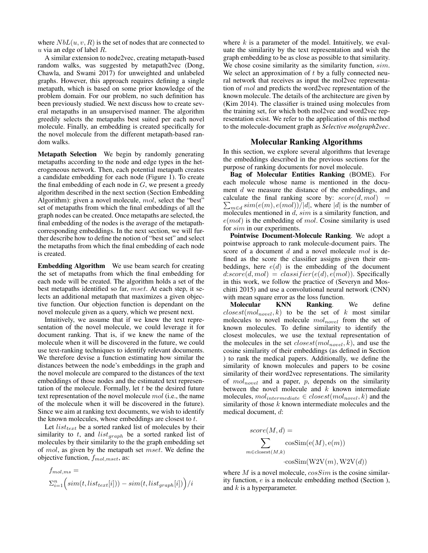where  $NbL(u, v, R)$  is the set of nodes that are connected to  $u$  via an edge of label  $R$ .

A similar extension to node2vec, creating metapath-based random walks, was suggested by metapath2vec (Dong, Chawla, and Swami 2017) for unweighted and unlabeled graphs. However, this approach requires defning a single metapath, which is based on some prior knowledge of the problem domain. For our problem, no such defnition has been previously studied. We next discuss how to create several metapaths in an unsupervised manner. The algorithm greedily selects the metapaths best suited per each novel molecule. Finally, an embedding is created specifcally for the novel molecule from the different metapath-based random walks.

Metapath Selection We begin by randomly generating metapaths according to the node and edge types in the heterogeneous network. Then, each potential metapath creates a candidate embedding for each node (Figure 1). To create the final embedding of each node in  $G$ , we present a greedy algorithm described in the next section (Section Embedding Algorithm): given a novel molecule, mol, select the "best" set of metapaths from which the fnal embeddings of all the graph nodes can be created. Once metapaths are selected, the fnal embedding of the nodes is the average of the metapathcorresponding embeddings. In the next section, we will further describe how to defne the notion of "best set" and select the metapaths from which the fnal embedding of each node is created.

Embedding Algorithm We use beam search for creating the set of metapaths from which the fnal embedding for each node will be created. The algorithm holds a set of the best metapaths identifed so far, mset. At each step, it selects an additional metapath that maximizes a given objective function. Our objection function is dependant on the novel molecule given as a query, which we present next.

Intuitively, we assume that if we knew the text representation of the novel molecule, we could leverage it for document ranking. That is, if we knew the name of the molecule when it will be discovered in the future, we could use text-ranking techniques to identify relevant documents. We therefore devise a function estimating how similar the distances between the node's embeddings in the graph and the novel molecule are compared to the distances of the text embeddings of those nodes and the estimated text representation of the molecule. Formally, let  $t$  be the desired future text representation of the novel molecule mol (i.e., the name of the molecule when it will be discovered in the future). Since we aim at ranking text documents, we wish to identify the known molecules, whose embeddings are closest to t.

Let  $list_{text}$  be a sorted ranked list of molecules by their similarity to t, and  $list_{graph}$  be a sorted ranked list of molecules by their similarity to the the graph embedding set of mol, as given by the metapath set mset. We defne the objective function,  $f_{mol,mset}$ , as:

$$
\begin{split} &f_{mol,ms} = \\ &\Sigma_{i=1}^n \Bigl (sim(t, list_{text}[i])) - sim(t, list_{graph}[i]) \Bigr )/i \end{split}
$$

where  $k$  is a parameter of the model. Intuitively, we evaluate the similarity by the text representation and wish the graph embedding to be as close as possible to that similarity. We chose cosine similarity as the similarity function,  $sim$ . We select an approximation of  $t$  by a fully connected neural network that receives as input the mol2vec representation of mol and predicts the word2vec representation of the known molecule. The details of the architecture are given by (Kim 2014). The classifer is trained using molecules from the training set, for which both mol2vec and word2vec representation exist. We refer to the application of this method to the molecule-document graph as *Selective molgraph2vec*.

## Molecular Ranking Algorithms

In this section, we explore several algorithms that leverage the embeddings described in the previous sections for the purpose of ranking documents for novel molecule.

Bag of Molecular Entities Ranking (BOME). For each molecule whose name is mentioned in the document d we measure the distance of the embeddings, and  $\sum_{m \in d} sim(e(m), e(mol)) / |d|$ , where |d| is the number of calculate the final ranking score by:  $score(d, mol)$  = molecules mentioned in  $d$ ,  $sim$  is a similarity function, and  $e(mol)$  is the embedding of mol. Cosine similarity is used for  $sim$  in our experiments.

Pointwise Document-Molecule Ranking. We adopt a pointwise approach to rank molecule-document pairs. The score of a document d and a novel molecule mol is defned as the score the classifer assigns given their embeddings, here  $e(d)$  is the embedding of the document  $d:score(d, mol) = classifier(e(d), e(mol))$ . Specifically in this work, we follow the practice of (Severyn and Moschitti 2015) and use a convolutional neural network (CNN) with mean square error as the loss function.

Molecular KNN Ranking. We defne  $closest(mol_{novel}, k)$  to be the set of k most similar molecules to novel molecule  $mol_{novel}$  from the set of known molecules. To defne similarity to identify the closest molecules, we use the textual representation of the molecules in the set  $closest(mol_{novel}, k)$ , and use the cosine similarity of their embeddings (as defned in Section ) to rank the medical papers. Additionally, we defne the similarity of known molecules and papers to be cosine similarity of their word2vec representations. The similarity of  $mol_{novel}$  and a paper, p, depends on the similarity between the novel molecule and  $k$  known intermediate molecules,  $mol_{intermediate} \in closest(mol_{novel}, k)$  and the similarity of those  $k$  known intermediate molecules and the medical document, d:

$$
score(M, d) = \sum_{m \in closest(M, k)} cosSim(e(M), e(m))
$$
  
 
$$
cosSim(W2V(m), W2V(d))
$$

where  $M$  is a novel molecule,  $\cos Sim$  is the cosine similarity function, e is a molecule embedding method (Section ), and  $k$  is a hyperparameter.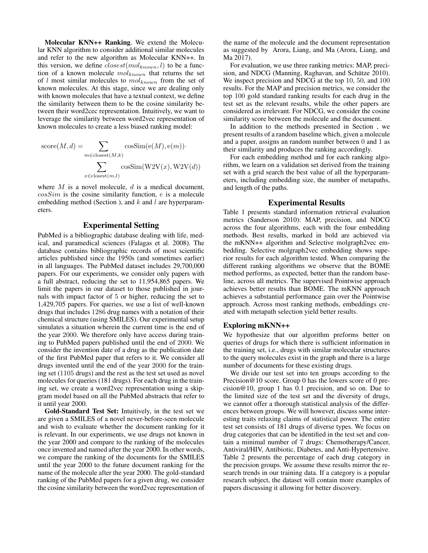Molecular KNN++ Ranking. We extend the Molecular KNN algorithm to consider additional similar molecules and refer to the new algorithm as Molecular KNN++. In this version, we define  $closest(mol_{known}, l)$  to be a function of a known molecule  $mol_{known}$  that returns the set of l most similar molecules to  $mol_{known}$  from the set of known molecules. At this stage, since we are dealing only with known molecules that have a textual context, we defne the similarity between them to be the cosine similarity between their word2cec representation. Intuitively, we want to leverage the similarity between word2vec representation of known molecules to create a less biased ranking model:

score
$$
(M, d)
$$
 = 
$$
\sum_{m \in \text{closest}(M,k)} \text{cosSim}(e(M), e(m)) \cdot \sum_{x \in \text{closest}(m,l)} \text{cosSim}(W2V(x), W2V(d))
$$

where  $M$  is a novel molecule,  $d$  is a medical document,  $\cos Sim$  is the cosine similarity function,  $e$  is a molecule embedding method (Section), and  $k$  and  $l$  are hyperparameters.

## Experimental Setting

PubMed is a bibliographic database dealing with life, medical, and paramedical sciences (Falagas et al. 2008). The database contains bibliographic records of most scientifc articles published since the 1950s (and sometimes earlier) in all languages. The PubMed dataset includes 29,700,000 papers. For our experiments, we consider only papers with a full abstract, reducing the set to 11,954,865 papers. We limit the papers in our dataset to those published in journals with impact factor of 5 or higher, reducing the set to 1,429,705 papers. For queries, we use a list of well-known drugs that includes 1286 drug names with a notation of their chemical structure (using SMILES). Our experimental setup simulates a situation wherein the current time is the end of the year 2000. We therefore only have access during training to PubMed papers published until the end of 2000. We consider the invention date of a drug as the publication date of the frst PubMed paper that refers to it. We consider all drugs invented until the end of the year 2000 for the training set (1105 drugs) and the rest as the test set used as novel molecules for queries (181 drugs). For each drug in the training set, we create a word2vec representation using a skipgram model based on all the PubMed abstracts that refer to it until year 2000.

Gold-Standard Test Set: Intuitively, in the test set we are given a SMILES of a novel never-before-seen molecule and wish to evaluate whether the document ranking for it is relevant. In our experiments, we use drugs not known in the year 2000 and compare to the ranking of the molecules once invented and named after the year 2000. In other words, we compare the ranking of the documents for the SMILES until the year 2000 to the future document ranking for the name of the molecule after the year 2000. The gold-standard ranking of the PubMed papers for a given drug, we consider the cosine similarity between the word2vec representation of the name of the molecule and the document representation as suggested by Arora, Liang, and Ma (Arora, Liang, and Ma 2017).

For evaluation, we use three ranking metrics: MAP, precision, and NDCG (Manning, Raghavan, and Schütze 2010). We inspect precision and NDCG at the top 10, 50, and 100 results. For the MAP and precision metrics, we consider the top 100 gold standard ranking results for each drug in the test set as the relevant results, while the other papers are considered as irrelevant. For NDCG, we consider the cosine similarity score between the molecule and the document.

In addition to the methods presented in Section , we present results of a random baseline which, given a molecule and a paper, assigns an random number between 0 and 1 as their similarity and produces the ranking accordingly.

For each embedding method and for each ranking algorithm, we learn on a validation set derived from the training set with a grid search the best value of all the hyperparameters, including embedding size, the number of metapaths, and length of the paths.

## Experimental Results

Table 1 presents standard information retrieval evaluation metrics (Sanderson 2010): MAP, precision, and NDCG across the four algorithms, each with the four embedding methods. Best results, marked in bold are achieved via the mKNN++ algorithm and Selective molgraph2vec embedding. Selective molgraph2vec embedding shows superior results for each algorithm tested. When comparing the different ranking algorithms we observe that the BOME method performs, as expected, better than the random baseline, across all metrics. The supervised Pointwise approach achieves better results than BOME. The mKNN approach achieves a substantial performance gain over the Pointwise approach. Across most ranking methods, embeddings created with metapath selection yield better results.

## Exploring mKNN++

We hypothesize that our algorithm preforms better on queries of drugs for which there is sufficient information in the training set, i.e., drugs with similar molecular structures to the query molecules exist in the graph and there is a large number of documents for these existing drugs.

We divide our test set into ten groups according to the Precision@10 score. Group 0 has the lowers score of 0 precision@10, group 1 has 0.1 precision, and so on. Due to the limited size of the test set and the diversity of drugs, we cannot offer a thorough statistical analysis of the differences between groups. We will however, discuss some interesting traits relaxing claims of statistical power. The entire test set consists of 181 drugs of diverse types. We focus on drug categories that can be identifed in the test set and contain a minimal number of 7 drugs: Chemotherapy/Cancer, Antiviral/HIV, Antibiotic, Diabetes, and Anti-Hypertensive. Table 2 presents the percentage of each drug category in the precision groups. We assume these results mirror the research trends in our training data. If a category is a popular research subject, the dataset will contain more examples of papers discussing it allowing for better discovery.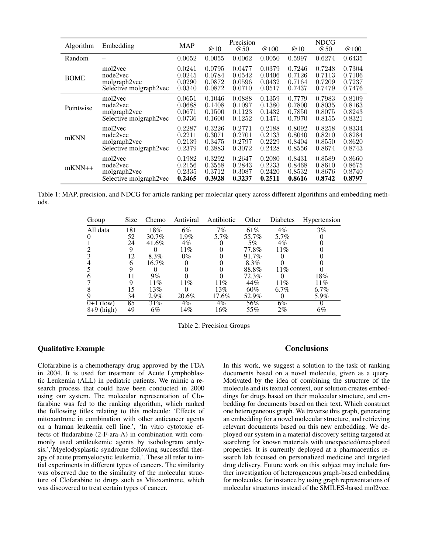| Algorithm   | Precision<br><b>MAP</b><br>Embedding<br>@10<br>@50 |        |        |        | @100   | <b>NDCG</b><br>@50<br>@10<br>@100 |        |        |
|-------------|----------------------------------------------------|--------|--------|--------|--------|-----------------------------------|--------|--------|
| Random      |                                                    | 0.0052 | 0.0055 | 0.0062 | 0.0050 | 0.5997                            | 0.6274 | 0.6435 |
| <b>BOME</b> | mol2yec                                            | 0.0241 | 0.0795 | 0.0477 | 0.0379 | 0.7246                            | 0.7248 | 0.7304 |
|             | node2vec                                           | 0.0245 | 0.0784 | 0.0542 | 0.0406 | 0.7126                            | 0.7113 | 0.7106 |
|             | molgraph2vec                                       | 0.0290 | 0.0872 | 0.0596 | 0.0432 | 0.7164                            | 0.7209 | 0.7237 |
|             | Selective molgraph2vec                             | 0.0340 | 0.0872 | 0.0710 | 0.0517 | 0.7437                            | 0.7479 | 0.7476 |
| Pointwise   | mol2yec                                            | 0.0651 | 0.1046 | 0.0888 | 0.1359 | 0.7779                            | 0.7983 | 0.8109 |
|             | node2vec                                           | 0.0688 | 0.1408 | 0.1097 | 0.1380 | 0.7800                            | 0.8035 | 0.8163 |
|             | molgraph2vec                                       | 0.0671 | 0.1500 | 0.1123 | 0.1432 | 0.7850                            | 0.8075 | 0.8243 |
|             | Selective molgraph2vec                             | 0.0736 | 0.1600 | 0.1252 | 0.1471 | 0.7970                            | 0.8155 | 0.8321 |
| mKNN        | mol2yec                                            | 0.2287 | 0.3226 | 0.2771 | 0.2188 | 0.8092                            | 0.8258 | 0.8334 |
|             | node2vec                                           | 0.2211 | 0.3071 | 0.2701 | 0.2133 | 0.8040                            | 0.8210 | 0.8284 |
|             | molgraph2vec                                       | 0.2139 | 0.3475 | 0.2797 | 0.2229 | 0.8404                            | 0.8550 | 0.8620 |
|             | Selective molgraph2vec                             | 0.2379 | 0.3883 | 0.3072 | 0.2428 | 0.8556                            | 0.8674 | 0.8743 |
| $mKNN++$    | mol2yec                                            | 0.1982 | 0.3292 | 0.2647 | 0.2080 | 0.8431                            | 0.8589 | 0.8660 |
|             | node2vec                                           | 0.2156 | 0.3558 | 0.2843 | 0.2233 | 0.8468                            | 0.8610 | 0.8675 |
|             | molgraph2vec                                       | 0.2335 | 0.3712 | 0.3087 | 0.2420 | 0.8532                            | 0.8676 | 0.8740 |
|             | Selective molgraph2vec                             | 0.2465 | 0.3928 | 0.3237 | 0.2511 | 0.8616                            | 0.8742 | 0.8797 |

Table 1: MAP, precision, and NDCG for article ranking per molecular query across different algorithms and embedding methods.

| Group        | <b>Size</b> | Chemo    | Antiviral | Antibiotic | Other | Diabetes | Hypertension |
|--------------|-------------|----------|-----------|------------|-------|----------|--------------|
| All data     | 181         | 18%      | 6%        | 7%         | 61\%  | $4\%$    | $3\%$        |
|              | 52          | 30.7%    | $1.9\%$   | 5.7%       | 55.7% | 5.7%     |              |
|              | 24          | 41.6%    | $4\%$     |            | 5%    | $4\%$    |              |
|              |             |          | 11%       |            | 77.8% | $11\%$   |              |
|              | 12          | 8.3%     | $0\%$     |            | 91.7% |          |              |
|              | 6           | $16.7\%$ |           |            | 8.3%  |          |              |
|              |             |          |           |            | 88.8% | $11\%$   |              |
|              |             | 9%       |           |            | 72.3% |          | 18%          |
|              |             | 11%      | 11%       | $11\%$     | 44%   | 11%      | $11\%$       |
| 8            | 15          | 13%      |           | 13%        | 60%   | $6.7\%$  | $6.7\%$      |
|              | 34          | 2.9%     | 20.6%     | 17.6%      | 52.9% |          | 5.9%         |
| 0+1 (low)    | 85          | 31%      | $4\%$     | $4\%$      | 56%   | 6%       |              |
| $8+9$ (high) | 49          | 6%       | 14%       | $16\%$     | 55%   | $2\%$    | 6%           |

Table 2: Precision Groups

## Qualitative Example

Clofarabine is a chemotherapy drug approved by the FDA in 2004. It is used for treatment of Acute Lymphoblastic Leukemia (ALL) in pediatric patients. We mimic a research process that could have been conducted in 2000 using our system. The molecular representation of Clofarabine was fed to the ranking algorithm, which ranked the following titles relating to this molecule: 'Effects of mitoxantrone in combination with other anticancer agents on a human leukemia cell line.', 'In vitro cytotoxic effects of fudarabine (2-F-ara-A) in combination with commonly used antileukemic agents by isobologram analysis.','Myelodysplastic syndrome following successful therapy of acute promyelocytic leukemia.'. These all refer to initial experiments in different types of cancers. The similarity was observed due to the similarity of the molecular structure of Clofarabine to drugs such as Mitoxantrone, which was discovered to treat certain types of cancer.

#### Conclusions

In this work, we suggest a solution to the task of ranking documents based on a novel molecule, given as a query. Motivated by the idea of combining the structure of the molecule and its textual context, our solution creates embeddings for drugs based on their molecular structure, and embedding for documents based on their text. Which construct one heterogeneous graph. We traverse this graph, generating an embedding for a novel molecular structure, and retrieving relevant documents based on this new embedding. We deployed our system in a material discovery setting targeted at searching for known materials with unexpected/unexplored properties. It is currently deployed at a pharmaceutics research lab focused on personalized medicine and targeted drug delivery. Future work on this subject may include further investigation of heterogeneous graph-based embedding for molecules, for instance by using graph representations of molecular structures instead of the SMILES-based mol2vec.